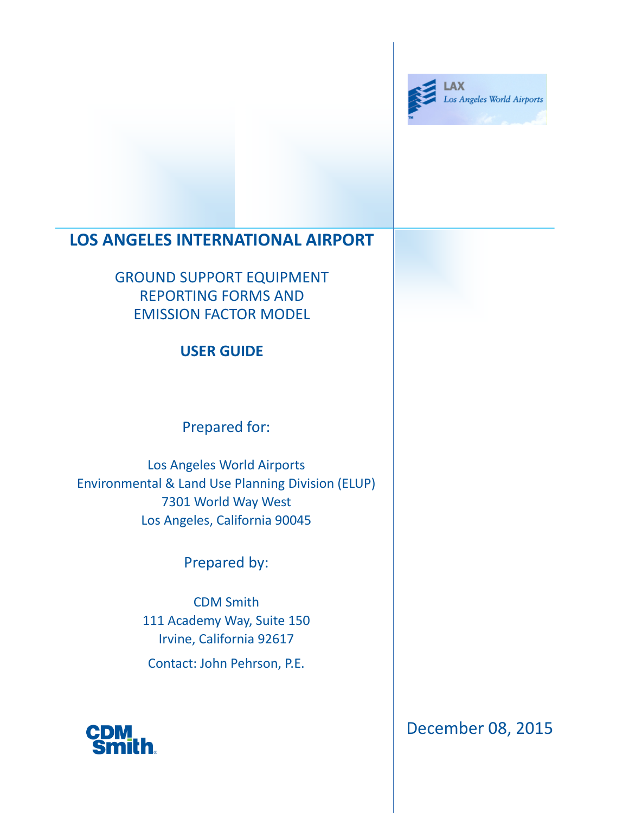## **LOS ANGELES INTERNATIONAL AIRPORT**

GROUND SUPPORT EQUIPMENT REPORTING FORMS AND EMISSION FACTOR MODEL

**USER GUIDE**

### Prepared for:

Los Angeles World Airports Environmental & Land Use Planning Division (ELUP) 7301 World Way West Los Angeles, California 90045

Prepared by:

CDM Smith 111 Academy Way, Suite 150 Irvine, California 92617

Contact: John Pehrson, P.E.



December 08, 2015

**IAX** 

Los Angeles World Airports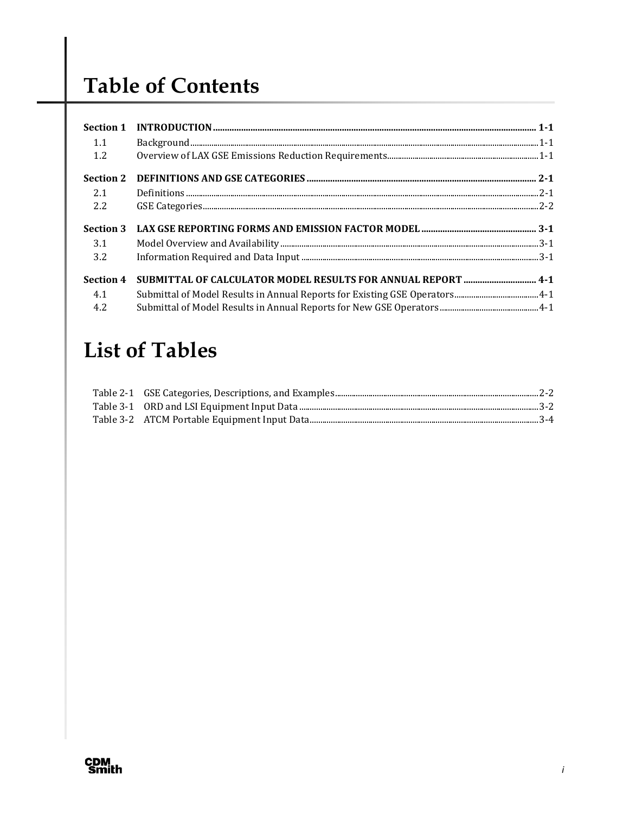# **Table of Contents**

| <b>Section 1</b> |  |
|------------------|--|
| 1.1              |  |
| 1.2              |  |
| <b>Section 2</b> |  |
| 2.1              |  |
| 2.2              |  |
| <b>Section 3</b> |  |
| 3.1              |  |
| 3.2              |  |
| <b>Section 4</b> |  |
| 4.1              |  |
| 4.2              |  |

# **List of Tables**

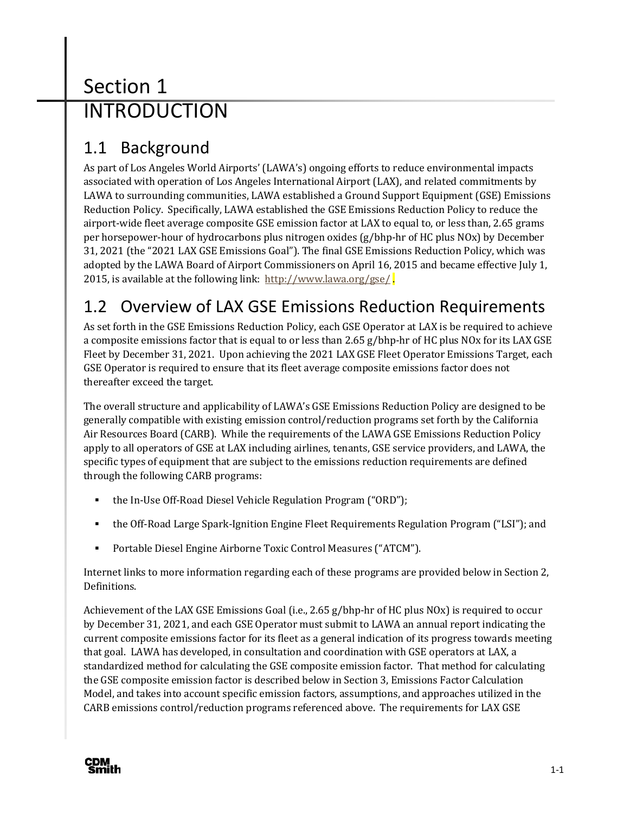# Section 1 **INTRODUCTION**

# 1.1 Background

As part of Los Angeles World Airports' (LAWA's) ongoing efforts to reduce environmental impacts associated with operation of Los Angeles International Airport (LAX), and related commitments by LAWA to surrounding communities, LAWA established a Ground Support Equipment (GSE) Emissions Reduction Policy. Specifically, LAWA established the GSE Emissions Reduction Policy to reduce the airport-wide fleet average composite GSE emission factor at LAX to equal to, or less than, 2.65 grams per horsepower-hour of hydrocarbons plus nitrogen oxides (g/bhp-hr of HC plus NOx) by December 31, 2021 (the "2021 LAX GSE Emissions Goal"). The final GSE Emissions Reduction Policy, which was adopted by the LAWA Board of Airport Commissioners on April 16, 2015 and became effective July 1, 2015, is available at the following link: <http://www.lawa.org/gse/>

# 1.2 Overview of LAX GSE Emissions Reduction Requirements

As set forth in the GSE Emissions Reduction Policy, each GSE Operator at LAX is be required to achieve a composite emissions factor that is equal to or less than 2.65 g/bhp-hr of HC plus NOx for its LAX GSE Fleet by December 31, 2021. Upon achieving the 2021 LAX GSE Fleet Operator Emissions Target, each GSE Operator is required to ensure that its fleet average composite emissions factor does not thereafter exceed the target.

The overall structure and applicability of LAWA's GSE Emissions Reduction Policy are designed to be generally compatible with existing emission control/reduction programs set forth by the California Air Resources Board (CARB). While the requirements of the LAWA GSE Emissions Reduction Policy apply to all operators of GSE at LAX including airlines, tenants, GSE service providers, and LAWA, the specific types of equipment that are subject to the emissions reduction requirements are defined through the following CARB programs:

- the In-Use Off-Road Diesel Vehicle Regulation Program ("ORD");
- the Off-Road Large Spark-Ignition Engine Fleet Requirements Regulation Program ("LSI"); and
- Portable Diesel Engine Airborne Toxic Control Measures ("ATCM").

Internet links to more information regarding each of these programs are provided below in Section 2, Definitions.

Achievement of the LAX GSE Emissions Goal (i.e., 2.65 g/bhp-hr of HC plus NOx) is required to occur by December 31, 2021, and each GSE Operator must submit to LAWA an annual report indicating the current composite emissions factor for its fleet as a general indication of its progress towards meeting that goal. LAWA has developed, in consultation and coordination with GSE operators at LAX, a standardized method for calculating the GSE composite emission factor. That method for calculating the GSE composite emission factor is described below in Section 3, Emissions Factor Calculation Model, and takes into account specific emission factors, assumptions, and approaches utilized in the CARB emissions control/reduction programs referenced above. The requirements for LAX GSE

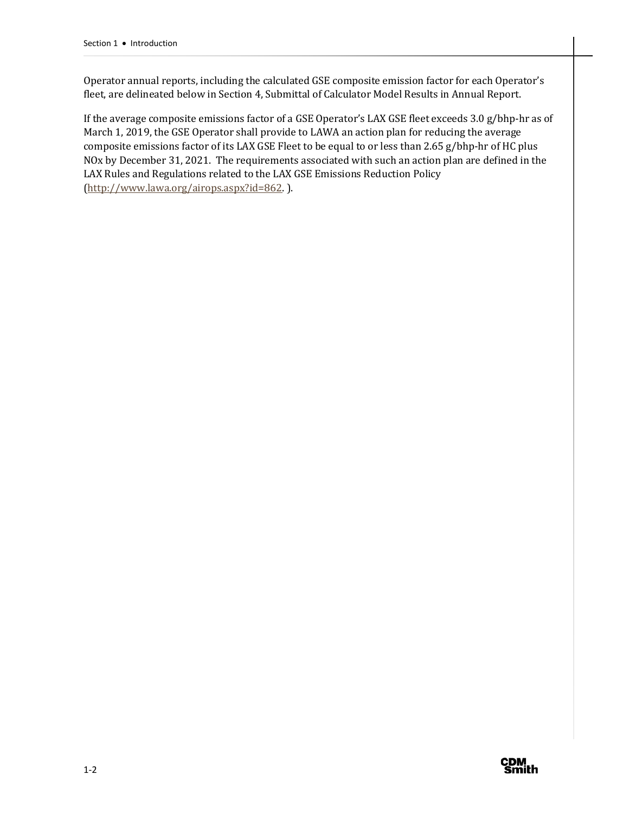Operator annual reports, including the calculated GSE composite emission factor for each Operator's fleet, are delineated below in Section 4, Submittal of Calculator Model Results in Annual Report.

If the average composite emissions factor of a GSE Operator's LAX GSE fleet exceeds 3.0 g/bhp-hr as of March 1, 2019, the GSE Operator shall provide to LAWA an action plan for reducing the average composite emissions factor of its LAX GSE Fleet to be equal to or less than 2.65 g/bhp-hr of HC plus NOx by December 31, 2021. The requirements associated with such an action plan are defined in the LAX Rules and Regulations related to the LAX GSE Emissions Reduction Policy [\(http://www.lawa.org/airops.aspx?id=862.](http://www.lawa.org/airops.aspx?id=862) ).

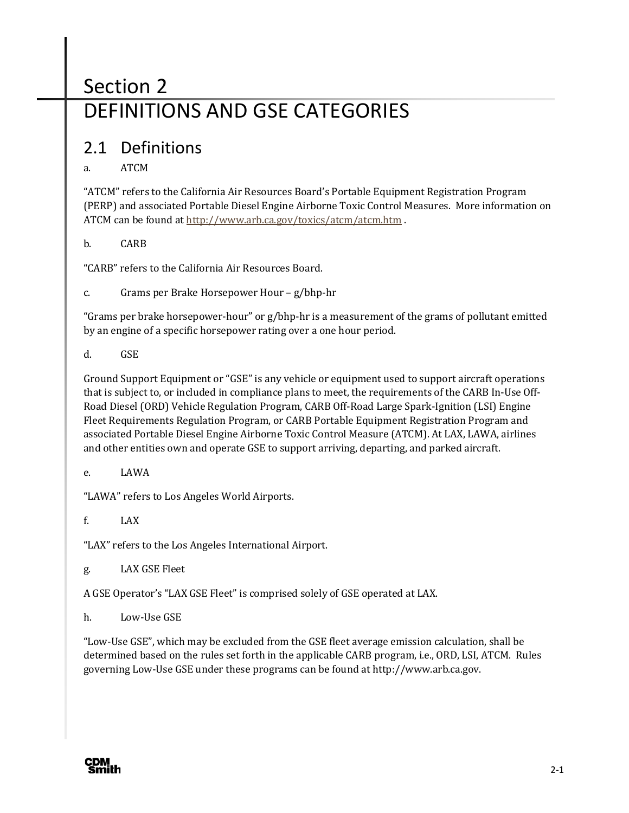# Section 2 DEFINITIONS AND GSE CATEGORIES

### 2.1 Definitions

a. ATCM

"ATCM" refers to the California Air Resources Board's Portable Equipment Registration Program (PERP) and associated Portable Diesel Engine Airborne Toxic Control Measures. More information on ATCM can be found a[t http://www.arb.ca.gov/toxics/atcm/atcm.htm](http://www.arb.ca.gov/toxics/atcm/atcm.htm).

b. CARB

"CARB" refers to the California Air Resources Board.

c. Grams per Brake Horsepower Hour – g/bhp-hr

"Grams per brake horsepower-hour" or g/bhp-hr is a measurement of the grams of pollutant emitted by an engine of a specific horsepower rating over a one hour period.

d. GSE

Ground Support Equipment or "GSE" is any vehicle or equipment used to support aircraft operations that is subject to, or included in compliance plans to meet, the requirements of the CARB In-Use Off-Road Diesel (ORD) Vehicle Regulation Program, CARB Off-Road Large Spark-Ignition (LSI) Engine Fleet Requirements Regulation Program, or CARB Portable Equipment Registration Program and associated Portable Diesel Engine Airborne Toxic Control Measure (ATCM). At LAX, LAWA, airlines and other entities own and operate GSE to support arriving, departing, and parked aircraft.

e. LAWA

"LAWA" refers to Los Angeles World Airports.

f. LAX

"LAX" refers to the Los Angeles International Airport.

g. LAX GSE Fleet

A GSE Operator's "LAX GSE Fleet" is comprised solely of GSE operated at LAX.

h. Low-Use GSE

"Low-Use GSE", which may be excluded from the GSE fleet average emission calculation, shall be determined based on the rules set forth in the applicable CARB program, i.e., ORD, LSI, ATCM. Rules governing Low-Use GSE under these programs can be found at http://www.arb.ca.gov.

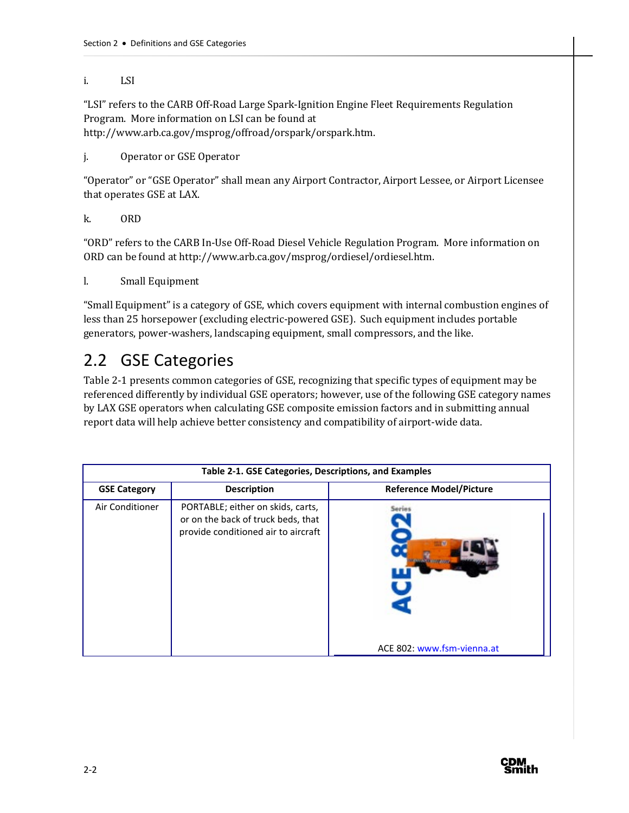#### i. LSI

"LSI" refers to the CARB Off-Road Large Spark-Ignition Engine Fleet Requirements Regulation Program. More information on LSI can be found at http://www.arb.ca.gov/msprog/offroad/orspark/orspark.htm.

j. Operator or GSE Operator

"Operator" or "GSE Operator" shall mean any Airport Contractor, Airport Lessee, or Airport Licensee that operates GSE at LAX.

k. ORD

"ORD" refers to the CARB In-Use Off-Road Diesel Vehicle Regulation Program. More information on ORD can be found at http://www.arb.ca.gov/msprog/ordiesel/ordiesel.htm.

l. Small Equipment

"Small Equipment" is a category of GSE, which covers equipment with internal combustion engines of less than 25 horsepower (excluding electric-powered GSE). Such equipment includes portable generators, power-washers, landscaping equipment, small compressors, and the like.

### 2.2 GSE Categories

Table 2-1 presents common categories of GSE, recognizing that specific types of equipment may be referenced differently by individual GSE operators; however, use of the following GSE category names by LAX GSE operators when calculating GSE composite emission factors and in submitting annual report data will help achieve better consistency and compatibility of airport-wide data.

| Table 2-1. GSE Categories, Descriptions, and Examples |                                                                                                                |                                |  |
|-------------------------------------------------------|----------------------------------------------------------------------------------------------------------------|--------------------------------|--|
| <b>GSE Category</b>                                   | <b>Description</b>                                                                                             | <b>Reference Model/Picture</b> |  |
| Air Conditioner                                       | PORTABLE; either on skids, carts,<br>or on the back of truck beds, that<br>provide conditioned air to aircraft |                                |  |
|                                                       |                                                                                                                | ACE 802: www.fsm-vienna.at     |  |

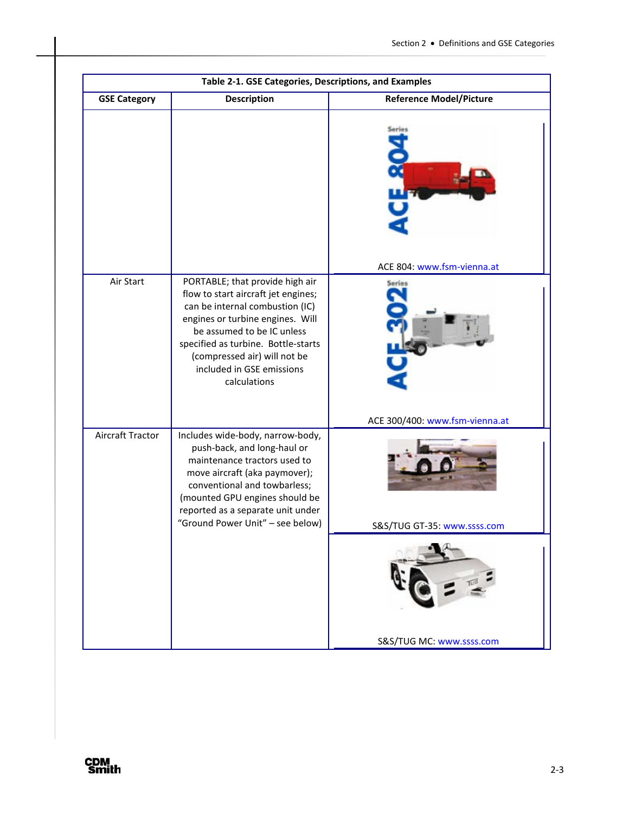|                         | Table 2-1. GSE Categories, Descriptions, and Examples                                                                                                                                                                                                                                           |                                |  |  |
|-------------------------|-------------------------------------------------------------------------------------------------------------------------------------------------------------------------------------------------------------------------------------------------------------------------------------------------|--------------------------------|--|--|
| <b>GSE Category</b>     | <b>Description</b>                                                                                                                                                                                                                                                                              | <b>Reference Model/Picture</b> |  |  |
|                         |                                                                                                                                                                                                                                                                                                 |                                |  |  |
|                         |                                                                                                                                                                                                                                                                                                 | ACE 804: www.fsm-vienna.at     |  |  |
| Air Start               | PORTABLE; that provide high air<br>flow to start aircraft jet engines;<br>can be internal combustion (IC)<br>engines or turbine engines. Will<br>be assumed to be IC unless<br>specified as turbine. Bottle-starts<br>(compressed air) will not be<br>included in GSE emissions<br>calculations | <b>Series</b>                  |  |  |
|                         |                                                                                                                                                                                                                                                                                                 | ACE 300/400: www.fsm-vienna.at |  |  |
| <b>Aircraft Tractor</b> | Includes wide-body, narrow-body,<br>push-back, and long-haul or<br>maintenance tractors used to<br>move aircraft (aka paymover);<br>conventional and towbarless;<br>(mounted GPU engines should be<br>reported as a separate unit under                                                         |                                |  |  |
|                         | "Ground Power Unit" - see below)                                                                                                                                                                                                                                                                | S&S/TUG GT-35: www.ssss.com    |  |  |
|                         |                                                                                                                                                                                                                                                                                                 |                                |  |  |
|                         |                                                                                                                                                                                                                                                                                                 | S&S/TUG MC: www.ssss.com       |  |  |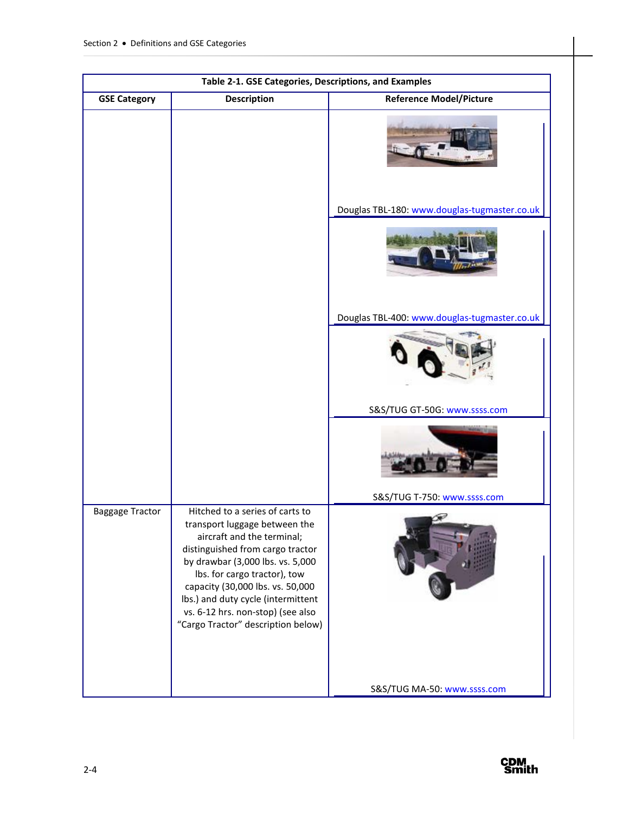|                        | Table 2-1. GSE Categories, Descriptions, and Examples                                                                                                                                                                                                                                                                                                       |                                              |
|------------------------|-------------------------------------------------------------------------------------------------------------------------------------------------------------------------------------------------------------------------------------------------------------------------------------------------------------------------------------------------------------|----------------------------------------------|
| <b>GSE Category</b>    | <b>Description</b>                                                                                                                                                                                                                                                                                                                                          | <b>Reference Model/Picture</b>               |
|                        |                                                                                                                                                                                                                                                                                                                                                             |                                              |
|                        |                                                                                                                                                                                                                                                                                                                                                             | Douglas TBL-180: www.douglas-tugmaster.co.uk |
|                        |                                                                                                                                                                                                                                                                                                                                                             |                                              |
|                        |                                                                                                                                                                                                                                                                                                                                                             | Douglas TBL-400: www.douglas-tugmaster.co.uk |
|                        |                                                                                                                                                                                                                                                                                                                                                             |                                              |
|                        |                                                                                                                                                                                                                                                                                                                                                             | S&S/TUG GT-50G: www.ssss.com                 |
|                        |                                                                                                                                                                                                                                                                                                                                                             |                                              |
|                        |                                                                                                                                                                                                                                                                                                                                                             | S&S/TUG T-750: www.ssss.com                  |
| <b>Baggage Tractor</b> | Hitched to a series of carts to<br>transport luggage between the<br>aircraft and the terminal;<br>distinguished from cargo tractor<br>by drawbar (3,000 lbs. vs. 5,000<br>Ibs. for cargo tractor), tow<br>capacity (30,000 lbs. vs. 50,000<br>Ibs.) and duty cycle (intermittent<br>vs. 6-12 hrs. non-stop) (see also<br>"Cargo Tractor" description below) |                                              |
|                        |                                                                                                                                                                                                                                                                                                                                                             | S&S/TUG MA-50: www.ssss.com                  |

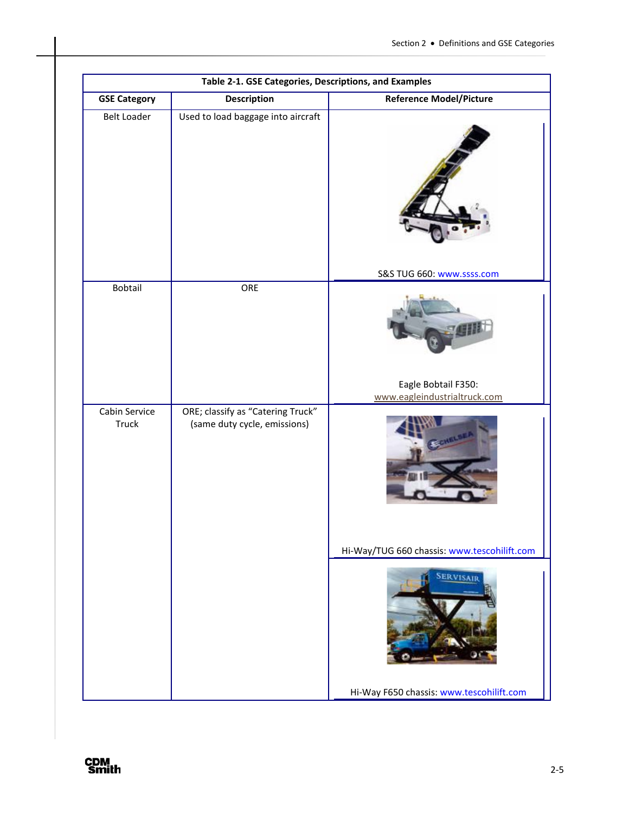|                        | Table 2-1. GSE Categories, Descriptions, and Examples             |                                             |  |  |
|------------------------|-------------------------------------------------------------------|---------------------------------------------|--|--|
| <b>GSE Category</b>    | <b>Description</b>                                                | <b>Reference Model/Picture</b>              |  |  |
| <b>Belt Loader</b>     | Used to load baggage into aircraft                                |                                             |  |  |
|                        |                                                                   | S&S TUG 660: www.ssss.com                   |  |  |
| Bobtail                | ORE                                                               |                                             |  |  |
|                        |                                                                   | Eagle Bobtail F350:                         |  |  |
|                        |                                                                   | www.eagleindustrialtruck.com                |  |  |
| Cabin Service<br>Truck | ORE; classify as "Catering Truck"<br>(same duty cycle, emissions) |                                             |  |  |
|                        |                                                                   | Hi-Way/TUG 660 chassis: www.tescohilift.com |  |  |
|                        |                                                                   | <b>SERVISAIR</b>                            |  |  |
|                        |                                                                   | Hi-Way F650 chassis: www.tescohilift.com    |  |  |

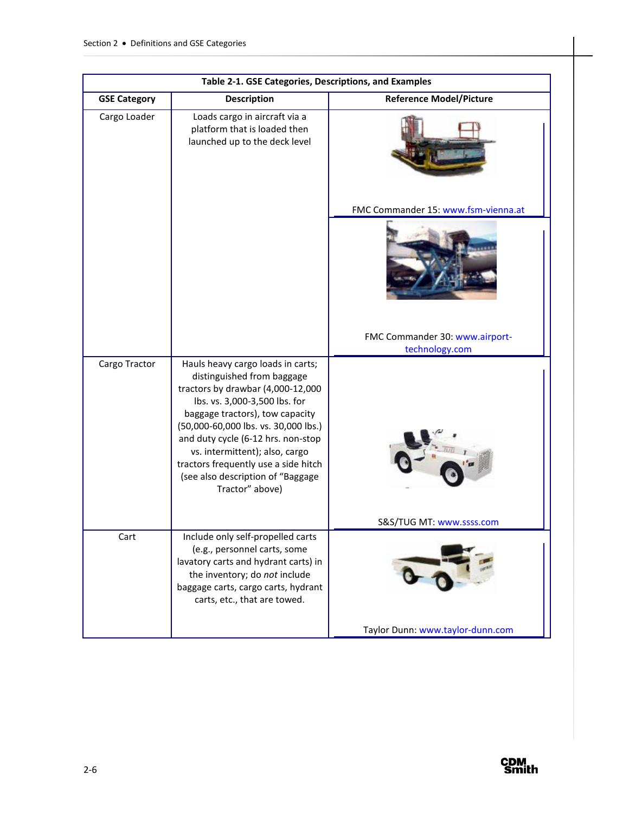| Table 2-1. GSE Categories, Descriptions, and Examples |                                                                                                                                                                                                                                                                                                                                                                                          |                                     |  |
|-------------------------------------------------------|------------------------------------------------------------------------------------------------------------------------------------------------------------------------------------------------------------------------------------------------------------------------------------------------------------------------------------------------------------------------------------------|-------------------------------------|--|
| <b>GSE Category</b>                                   | <b>Description</b>                                                                                                                                                                                                                                                                                                                                                                       | <b>Reference Model/Picture</b>      |  |
| Cargo Loader                                          | Loads cargo in aircraft via a<br>platform that is loaded then<br>launched up to the deck level                                                                                                                                                                                                                                                                                           |                                     |  |
|                                                       |                                                                                                                                                                                                                                                                                                                                                                                          | FMC Commander 15: www.fsm-vienna.at |  |
|                                                       |                                                                                                                                                                                                                                                                                                                                                                                          |                                     |  |
|                                                       |                                                                                                                                                                                                                                                                                                                                                                                          | FMC Commander 30: www.airport-      |  |
|                                                       |                                                                                                                                                                                                                                                                                                                                                                                          | technology.com                      |  |
| Cargo Tractor                                         | Hauls heavy cargo loads in carts;<br>distinguished from baggage<br>tractors by drawbar (4,000-12,000<br>lbs. vs. 3,000-3,500 lbs. for<br>baggage tractors), tow capacity<br>(50,000-60,000 lbs. vs. 30,000 lbs.)<br>and duty cycle (6-12 hrs. non-stop<br>vs. intermittent); also, cargo<br>tractors frequently use a side hitch<br>(see also description of "Baggage<br>Tractor" above) |                                     |  |
|                                                       |                                                                                                                                                                                                                                                                                                                                                                                          | S&S/TUG MT: www.ssss.com            |  |
| Cart                                                  | Include only self-propelled carts<br>(e.g., personnel carts, some<br>lavatory carts and hydrant carts) in<br>the inventory; do not include<br>baggage carts, cargo carts, hydrant<br>carts, etc., that are towed.                                                                                                                                                                        |                                     |  |
|                                                       |                                                                                                                                                                                                                                                                                                                                                                                          | Taylor Dunn: www.taylor-dunn.com    |  |

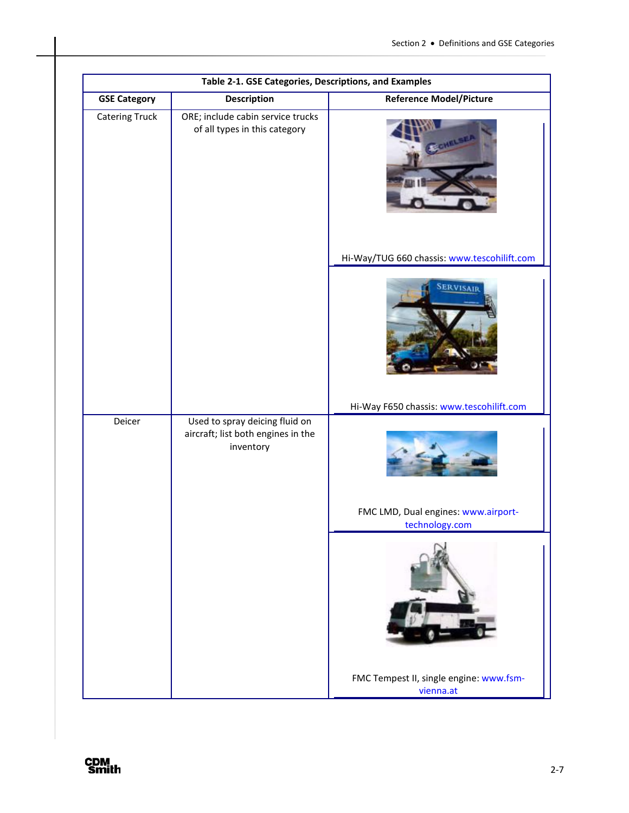|                       | Table 2-1. GSE Categories, Descriptions, and Examples                             |                                                      |  |  |
|-----------------------|-----------------------------------------------------------------------------------|------------------------------------------------------|--|--|
| <b>GSE Category</b>   | <b>Description</b>                                                                | <b>Reference Model/Picture</b>                       |  |  |
| <b>Catering Truck</b> | ORE; include cabin service trucks<br>of all types in this category                | <b>Bach</b>                                          |  |  |
|                       |                                                                                   | Hi-Way/TUG 660 chassis: www.tescohilift.com          |  |  |
|                       |                                                                                   | <b>SERVISAIR</b>                                     |  |  |
|                       |                                                                                   | Hi-Way F650 chassis: www.tescohilift.com             |  |  |
| Deicer                | Used to spray deicing fluid on<br>aircraft; list both engines in the<br>inventory |                                                      |  |  |
|                       |                                                                                   | FMC LMD, Dual engines: www.airport-                  |  |  |
|                       |                                                                                   | technology.com                                       |  |  |
|                       |                                                                                   |                                                      |  |  |
|                       |                                                                                   | FMC Tempest II, single engine: www.fsm-<br>vienna.at |  |  |

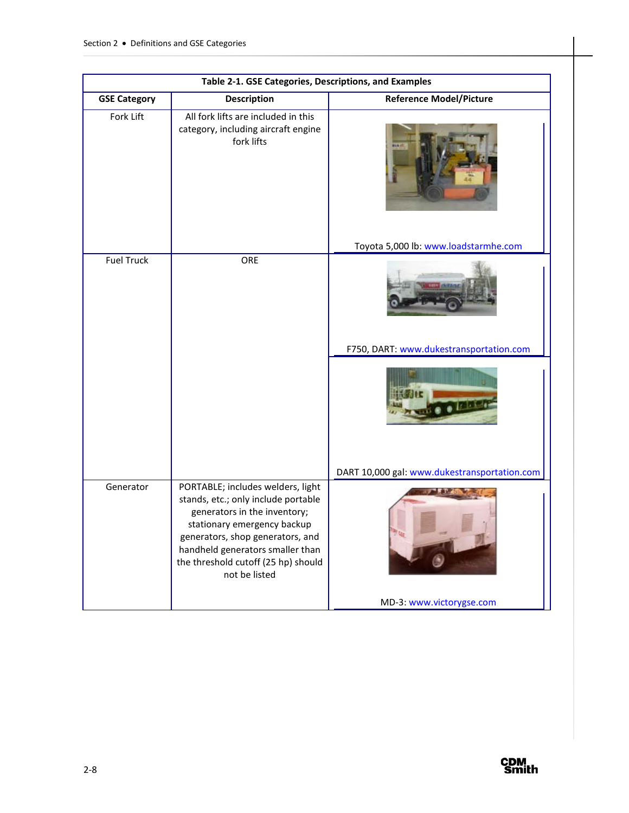| Table 2-1. GSE Categories, Descriptions, and Examples |                                                                                                                                                                                                                                                                         |                                              |  |
|-------------------------------------------------------|-------------------------------------------------------------------------------------------------------------------------------------------------------------------------------------------------------------------------------------------------------------------------|----------------------------------------------|--|
| <b>GSE Category</b>                                   | <b>Description</b>                                                                                                                                                                                                                                                      | <b>Reference Model/Picture</b>               |  |
| Fork Lift                                             | All fork lifts are included in this<br>category, including aircraft engine<br>fork lifts                                                                                                                                                                                |                                              |  |
|                                                       |                                                                                                                                                                                                                                                                         | Toyota 5,000 lb: www.loadstarmhe.com         |  |
| <b>Fuel Truck</b>                                     | ORE                                                                                                                                                                                                                                                                     |                                              |  |
|                                                       |                                                                                                                                                                                                                                                                         | F750, DART: www.dukestransportation.com      |  |
|                                                       |                                                                                                                                                                                                                                                                         |                                              |  |
|                                                       |                                                                                                                                                                                                                                                                         | DART 10,000 gal: www.dukestransportation.com |  |
| Generator                                             | PORTABLE; includes welders, light<br>stands, etc.; only include portable<br>generators in the inventory;<br>stationary emergency backup<br>generators, shop generators, and<br>handheld generators smaller than<br>the threshold cutoff (25 hp) should<br>not be listed | MD-3: www.victorygse.com                     |  |

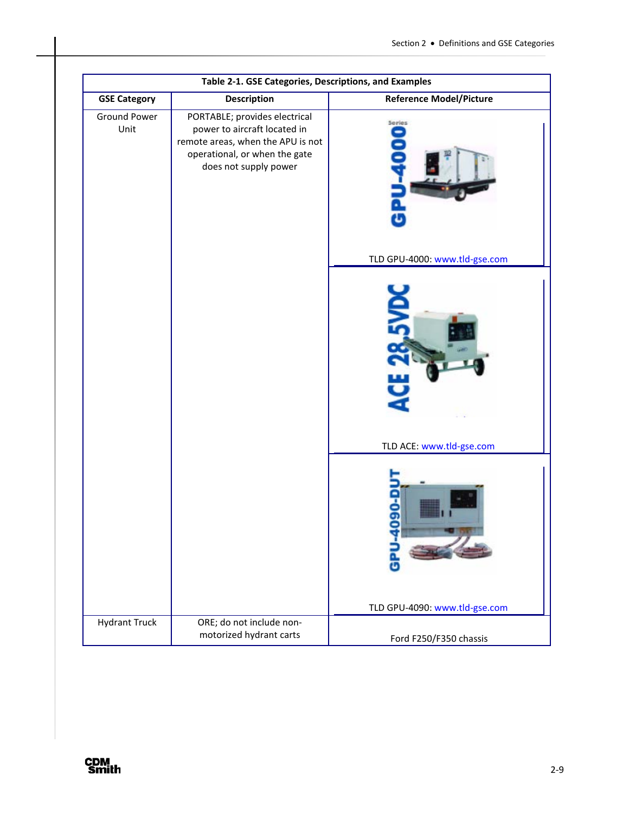|                      | Table 2-1. GSE Categories, Descriptions, and Examples                                                                                                        |                                                      |  |  |
|----------------------|--------------------------------------------------------------------------------------------------------------------------------------------------------------|------------------------------------------------------|--|--|
| <b>GSE Category</b>  | <b>Description</b>                                                                                                                                           | <b>Reference Model/Picture</b>                       |  |  |
| Ground Power<br>Unit | PORTABLE; provides electrical<br>power to aircraft located in<br>remote areas, when the APU is not<br>operational, or when the gate<br>does not supply power | Series<br><b>4000</b>                                |  |  |
|                      |                                                                                                                                                              | TLD GPU-4000: www.tld-gse.com                        |  |  |
|                      |                                                                                                                                                              | ě<br>TLD ACE: www.tld-gse.com                        |  |  |
|                      |                                                                                                                                                              | <b>Q-060</b><br>366<br>TLD GPU-4090: www.tld-gse.com |  |  |
| <b>Hydrant Truck</b> | ORE; do not include non-                                                                                                                                     |                                                      |  |  |
|                      | motorized hydrant carts                                                                                                                                      | Ford F250/F350 chassis                               |  |  |

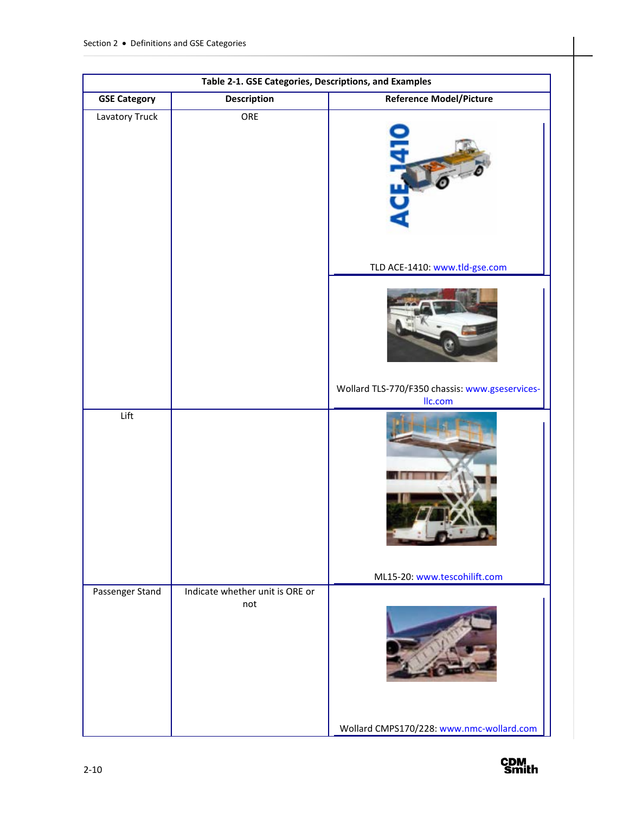| Table 2-1. GSE Categories, Descriptions, and Examples |                                 |                                                |  |
|-------------------------------------------------------|---------------------------------|------------------------------------------------|--|
| <b>GSE Category</b>                                   | <b>Description</b>              | <b>Reference Model/Picture</b>                 |  |
| Lavatory Truck                                        | ORE                             | <b>410</b><br>B                                |  |
|                                                       |                                 | TLD ACE-1410: www.tld-gse.com                  |  |
|                                                       |                                 |                                                |  |
|                                                       |                                 | Wollard TLS-770/F350 chassis: www.gseservices- |  |
|                                                       |                                 | Ilc.com                                        |  |
| Lift                                                  |                                 | ML15-20: www.tescohilift.com                   |  |
| Passenger Stand                                       | Indicate whether unit is ORE or |                                                |  |
|                                                       | not                             |                                                |  |
|                                                       |                                 | Wollard CMPS170/228: www.nmc-wollard.com       |  |

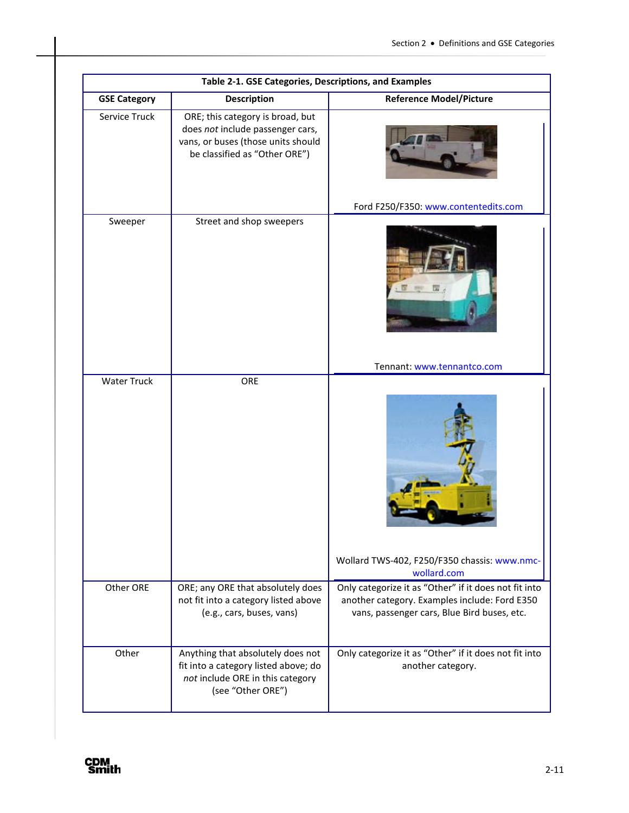| Table 2-1. GSE Categories, Descriptions, and Examples |                                                                                                                                             |                                                                                                                                                       |
|-------------------------------------------------------|---------------------------------------------------------------------------------------------------------------------------------------------|-------------------------------------------------------------------------------------------------------------------------------------------------------|
| <b>GSE Category</b>                                   | <b>Description</b>                                                                                                                          | <b>Reference Model/Picture</b>                                                                                                                        |
| Service Truck                                         | ORE; this category is broad, but<br>does not include passenger cars,<br>vans, or buses (those units should<br>be classified as "Other ORE") |                                                                                                                                                       |
|                                                       |                                                                                                                                             | Ford F250/F350: www.contentedits.com                                                                                                                  |
| Sweeper                                               | Street and shop sweepers                                                                                                                    |                                                                                                                                                       |
|                                                       |                                                                                                                                             | Tennant: www.tennantco.com                                                                                                                            |
| <b>Water Truck</b>                                    | ORE                                                                                                                                         |                                                                                                                                                       |
|                                                       |                                                                                                                                             | Wollard TWS-402, F250/F350 chassis: www.nmc-<br>wollard.com                                                                                           |
| Other ORE                                             | ORE; any ORE that absolutely does<br>not fit into a category listed above<br>(e.g., cars, buses, vans)                                      | Only categorize it as "Other" if it does not fit into<br>another category. Examples include: Ford E350<br>vans, passenger cars, Blue Bird buses, etc. |
| Other                                                 | Anything that absolutely does not<br>fit into a category listed above; do<br>not include ORE in this category<br>(see "Other ORE")          | Only categorize it as "Other" if it does not fit into<br>another category.                                                                            |

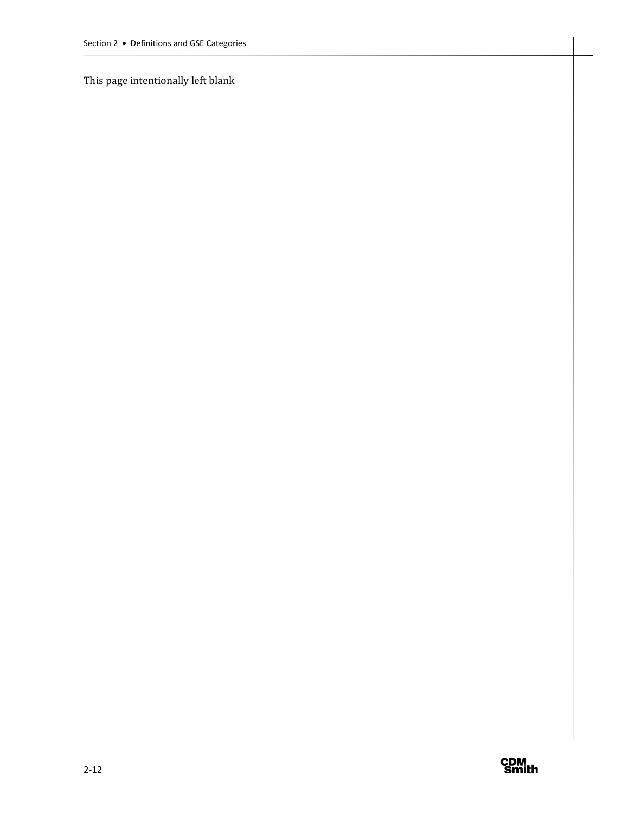This page intentionally left blank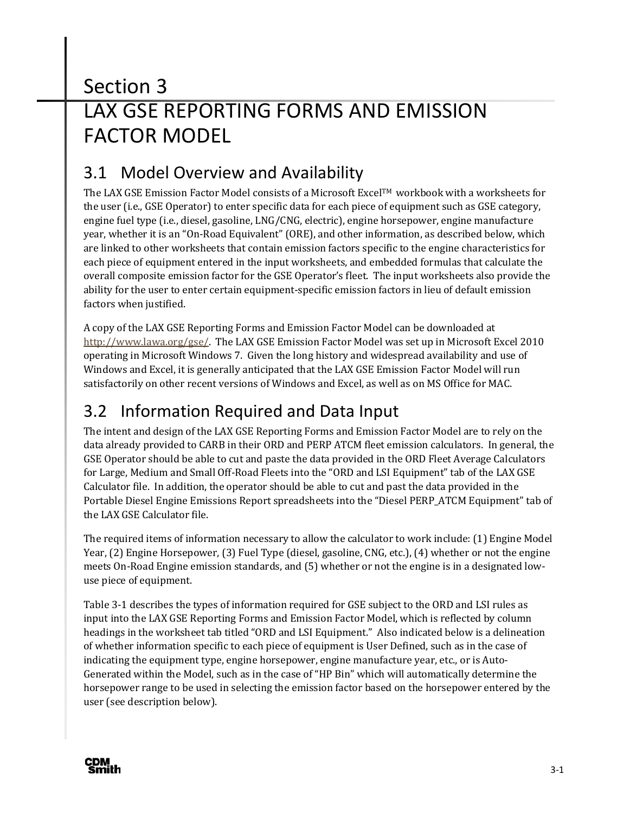# Section 3

# LAX GSE REPORTING FORMS AND EMISSION FACTOR MODEL

### 3.1 Model Overview and Availability

The LAX GSE Emission Factor Model consists of a Microsoft Excel<sup>TM</sup> workbook with a worksheets for the user (i.e., GSE Operator) to enter specific data for each piece of equipment such as GSE category, engine fuel type (i.e., diesel, gasoline, LNG/CNG, electric), engine horsepower, engine manufacture year, whether it is an "On-Road Equivalent" (ORE), and other information, as described below, which are linked to other worksheets that contain emission factors specific to the engine characteristics for each piece of equipment entered in the input worksheets, and embedded formulas that calculate the overall composite emission factor for the GSE Operator's fleet. The input worksheets also provide the ability for the user to enter certain equipment-specific emission factors in lieu of default emission factors when justified.

A copy of the LAX GSE Reporting Forms and Emission Factor Model can be downloaded at [http://www.lawa.org/gse/.](http://www.lawa.org/gse/) The LAX GSE Emission Factor Model was set up in Microsoft Excel 2010 operating in Microsoft Windows 7. Given the long history and widespread availability and use of Windows and Excel, it is generally anticipated that the LAX GSE Emission Factor Model will run satisfactorily on other recent versions of Windows and Excel, as well as on MS Office for MAC.

# 3.2 Information Required and Data Input

The intent and design of the LAX GSE Reporting Forms and Emission Factor Model are to rely on the data already provided to CARB in their ORD and PERP ATCM fleet emission calculators. In general, the GSE Operator should be able to cut and paste the data provided in the ORD Fleet Average Calculators for Large, Medium and Small Off-Road Fleets into the "ORD and LSI Equipment" tab of the LAX GSE Calculator file. In addition, the operator should be able to cut and past the data provided in the Portable Diesel Engine Emissions Report spreadsheets into the "Diesel PERP\_ATCM Equipment" tab of the LAX GSE Calculator file.

The required items of information necessary to allow the calculator to work include: (1) Engine Model Year, (2) Engine Horsepower, (3) Fuel Type (diesel, gasoline, CNG, etc.), (4) whether or not the engine meets On-Road Engine emission standards, and (5) whether or not the engine is in a designated lowuse piece of equipment.

Table 3-1 describes the types of information required for GSE subject to the ORD and LSI rules as input into the LAX GSE Reporting Forms and Emission Factor Model, which is reflected by column headings in the worksheet tab titled "ORD and LSI Equipment." Also indicated below is a delineation of whether information specific to each piece of equipment is User Defined, such as in the case of indicating the equipment type, engine horsepower, engine manufacture year, etc., or is Auto-Generated within the Model, such as in the case of "HP Bin" which will automatically determine the horsepower range to be used in selecting the emission factor based on the horsepower entered by the user (see description below).

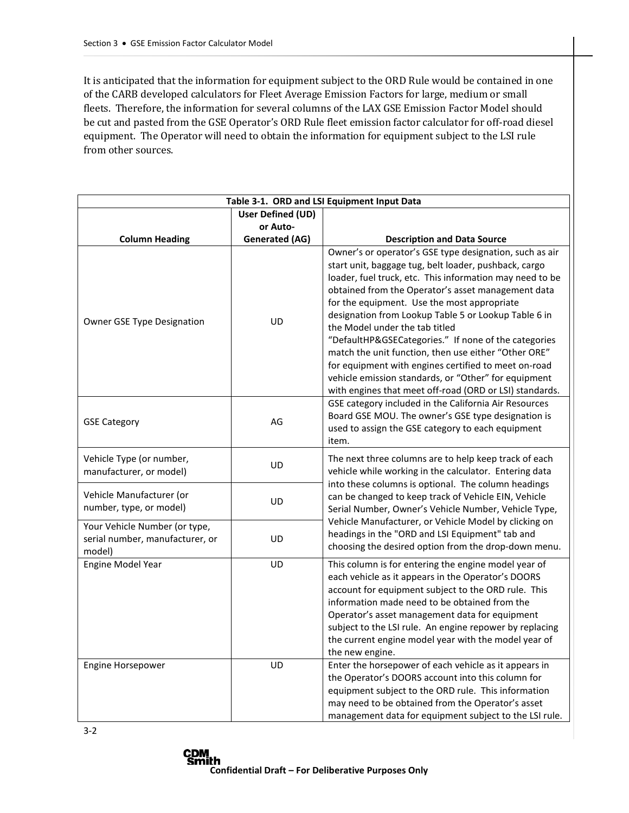It is anticipated that the information for equipment subject to the ORD Rule would be contained in one of the CARB developed calculators for Fleet Average Emission Factors for large, medium or small fleets. Therefore, the information for several columns of the LAX GSE Emission Factor Model should be cut and pasted from the GSE Operator's ORD Rule fleet emission factor calculator for off-road diesel equipment. The Operator will need to obtain the information for equipment subject to the LSI rule from other sources.

| Table 3-1. ORD and LSI Equipment Input Data                                |                          |                                                                                                                                                                                                                                                                                                                                                                                                                                                                                                                                                                                                                                                                        |  |  |
|----------------------------------------------------------------------------|--------------------------|------------------------------------------------------------------------------------------------------------------------------------------------------------------------------------------------------------------------------------------------------------------------------------------------------------------------------------------------------------------------------------------------------------------------------------------------------------------------------------------------------------------------------------------------------------------------------------------------------------------------------------------------------------------------|--|--|
|                                                                            | <b>User Defined (UD)</b> |                                                                                                                                                                                                                                                                                                                                                                                                                                                                                                                                                                                                                                                                        |  |  |
|                                                                            | or Auto-                 |                                                                                                                                                                                                                                                                                                                                                                                                                                                                                                                                                                                                                                                                        |  |  |
| <b>Column Heading</b>                                                      | <b>Generated (AG)</b>    | <b>Description and Data Source</b>                                                                                                                                                                                                                                                                                                                                                                                                                                                                                                                                                                                                                                     |  |  |
| <b>Owner GSE Type Designation</b>                                          | <b>UD</b>                | Owner's or operator's GSE type designation, such as air<br>start unit, baggage tug, belt loader, pushback, cargo<br>loader, fuel truck, etc. This information may need to be<br>obtained from the Operator's asset management data<br>for the equipment. Use the most appropriate<br>designation from Lookup Table 5 or Lookup Table 6 in<br>the Model under the tab titled<br>"DefaultHP&GSECategories." If none of the categories<br>match the unit function, then use either "Other ORE"<br>for equipment with engines certified to meet on-road<br>vehicle emission standards, or "Other" for equipment<br>with engines that meet off-road (ORD or LSI) standards. |  |  |
| <b>GSE Category</b>                                                        | AG                       | GSE category included in the California Air Resources<br>Board GSE MOU. The owner's GSE type designation is<br>used to assign the GSE category to each equipment<br>item.                                                                                                                                                                                                                                                                                                                                                                                                                                                                                              |  |  |
| Vehicle Type (or number,<br>manufacturer, or model)                        | <b>UD</b>                | The next three columns are to help keep track of each<br>vehicle while working in the calculator. Entering data                                                                                                                                                                                                                                                                                                                                                                                                                                                                                                                                                        |  |  |
| Vehicle Manufacturer (or<br>number, type, or model)                        | UD                       | into these columns is optional. The column headings<br>can be changed to keep track of Vehicle EIN, Vehicle<br>Serial Number, Owner's Vehicle Number, Vehicle Type,                                                                                                                                                                                                                                                                                                                                                                                                                                                                                                    |  |  |
| Your Vehicle Number (or type,<br>serial number, manufacturer, or<br>model) | UD                       | Vehicle Manufacturer, or Vehicle Model by clicking on<br>headings in the "ORD and LSI Equipment" tab and<br>choosing the desired option from the drop-down menu.                                                                                                                                                                                                                                                                                                                                                                                                                                                                                                       |  |  |
| Engine Model Year                                                          | UD                       | This column is for entering the engine model year of<br>each vehicle as it appears in the Operator's DOORS<br>account for equipment subject to the ORD rule. This<br>information made need to be obtained from the<br>Operator's asset management data for equipment<br>subject to the LSI rule. An engine repower by replacing<br>the current engine model year with the model year of<br>the new engine.                                                                                                                                                                                                                                                             |  |  |
| Engine Horsepower                                                          | <b>UD</b>                | Enter the horsepower of each vehicle as it appears in<br>the Operator's DOORS account into this column for<br>equipment subject to the ORD rule. This information<br>may need to be obtained from the Operator's asset<br>management data for equipment subject to the LSI rule.                                                                                                                                                                                                                                                                                                                                                                                       |  |  |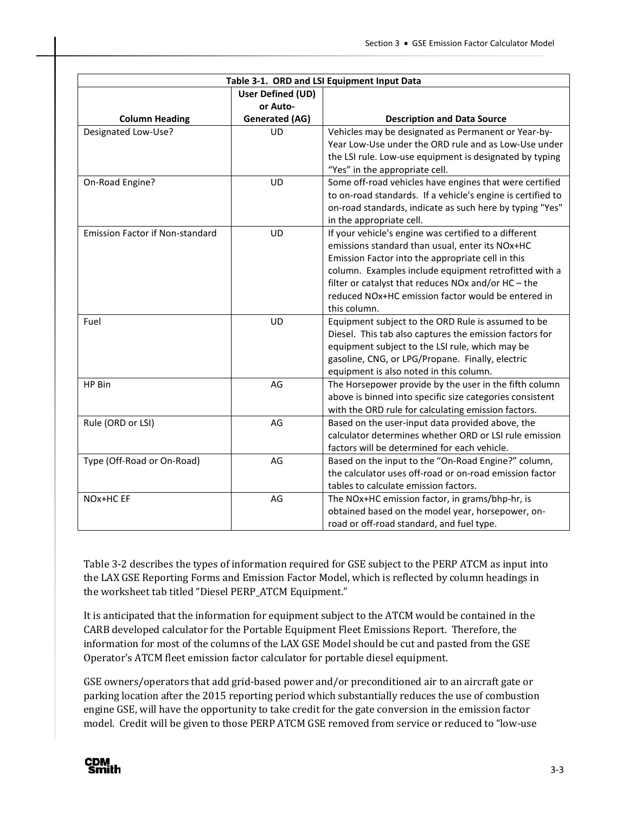| Table 3-1. ORD and LSI Equipment Input Data |                          |                                                             |  |
|---------------------------------------------|--------------------------|-------------------------------------------------------------|--|
|                                             | <b>User Defined (UD)</b> |                                                             |  |
|                                             | or Auto-                 |                                                             |  |
| <b>Column Heading</b>                       | <b>Generated (AG)</b>    | <b>Description and Data Source</b>                          |  |
| Designated Low-Use?                         | <b>UD</b>                | Vehicles may be designated as Permanent or Year-by-         |  |
|                                             |                          | Year Low-Use under the ORD rule and as Low-Use under        |  |
|                                             |                          | the LSI rule. Low-use equipment is designated by typing     |  |
|                                             |                          | "Yes" in the appropriate cell.                              |  |
| On-Road Engine?                             | <b>UD</b>                | Some off-road vehicles have engines that were certified     |  |
|                                             |                          | to on-road standards. If a vehicle's engine is certified to |  |
|                                             |                          | on-road standards, indicate as such here by typing "Yes"    |  |
|                                             |                          | in the appropriate cell.                                    |  |
| <b>Emission Factor if Non-standard</b>      | UD                       | If your vehicle's engine was certified to a different       |  |
|                                             |                          | emissions standard than usual, enter its NOx+HC             |  |
|                                             |                          | Emission Factor into the appropriate cell in this           |  |
|                                             |                          | column. Examples include equipment retrofitted with a       |  |
|                                             |                          | filter or catalyst that reduces NOx and/or HC - the         |  |
|                                             |                          | reduced NOx+HC emission factor would be entered in          |  |
|                                             |                          | this column.                                                |  |
| Fuel                                        | <b>UD</b>                | Equipment subject to the ORD Rule is assumed to be          |  |
|                                             |                          | Diesel. This tab also captures the emission factors for     |  |
|                                             |                          | equipment subject to the LSI rule, which may be             |  |
|                                             |                          | gasoline, CNG, or LPG/Propane. Finally, electric            |  |
|                                             |                          | equipment is also noted in this column.                     |  |
| HP Bin                                      | AG                       | The Horsepower provide by the user in the fifth column      |  |
|                                             |                          | above is binned into specific size categories consistent    |  |
|                                             |                          | with the ORD rule for calculating emission factors.         |  |
| Rule (ORD or LSI)                           | AG                       | Based on the user-input data provided above, the            |  |
|                                             |                          | calculator determines whether ORD or LSI rule emission      |  |
|                                             |                          | factors will be determined for each vehicle.                |  |
| Type (Off-Road or On-Road)                  | AG                       | Based on the input to the "On-Road Engine?" column,         |  |
|                                             |                          | the calculator uses off-road or on-road emission factor     |  |
|                                             |                          | tables to calculate emission factors.                       |  |
| NOx+HC EF                                   | AG                       | The NOx+HC emission factor, in grams/bhp-hr, is             |  |
|                                             |                          | obtained based on the model year, horsepower, on-           |  |
|                                             |                          | road or off-road standard, and fuel type.                   |  |

Table 3-2 describes the types of information required for GSE subject to the PERP ATCM as input into the LAX GSE Reporting Forms and Emission Factor Model, which is reflected by column headings in the worksheet tab titled "Diesel PERP\_ATCM Equipment."

It is anticipated that the information for equipment subject to the ATCM would be contained in the CARB developed calculator for the Portable Equipment Fleet Emissions Report. Therefore, the information for most of the columns of the LAX GSE Model should be cut and pasted from the GSE Operator's ATCM fleet emission factor calculator for portable diesel equipment.

GSE owners/operators that add grid-based power and/or preconditioned air to an aircraft gate or parking location after the 2015 reporting period which substantially reduces the use of combustion engine GSE, will have the opportunity to take credit for the gate conversion in the emission factor model. Credit will be given to those PERP ATCM GSE removed from service or reduced to "low-use

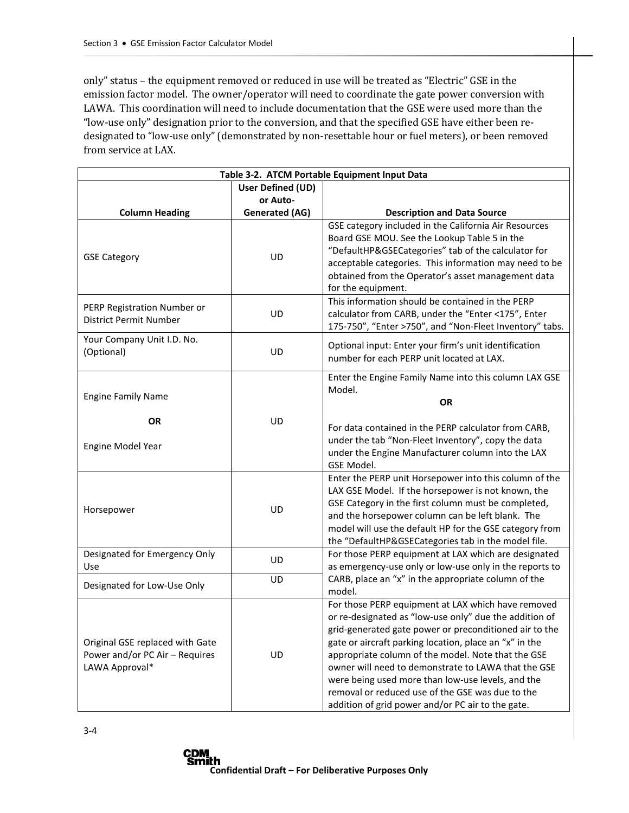only" status – the equipment removed or reduced in use will be treated as "Electric" GSE in the emission factor model. The owner/operator will need to coordinate the gate power conversion with LAWA. This coordination will need to include documentation that the GSE were used more than the "low-use only" designation prior to the conversion, and that the specified GSE have either been redesignated to "low-use only" (demonstrated by non-resettable hour or fuel meters), or been removed from service at LAX.

| Table 3-2. ATCM Portable Equipment Input Data                                       |                          |                                                                                                                                                                                                                                                                                                                                                                                                                                                                                                             |  |  |
|-------------------------------------------------------------------------------------|--------------------------|-------------------------------------------------------------------------------------------------------------------------------------------------------------------------------------------------------------------------------------------------------------------------------------------------------------------------------------------------------------------------------------------------------------------------------------------------------------------------------------------------------------|--|--|
|                                                                                     | <b>User Defined (UD)</b> |                                                                                                                                                                                                                                                                                                                                                                                                                                                                                                             |  |  |
|                                                                                     | or Auto-                 |                                                                                                                                                                                                                                                                                                                                                                                                                                                                                                             |  |  |
| <b>Column Heading</b>                                                               | <b>Generated (AG)</b>    | <b>Description and Data Source</b>                                                                                                                                                                                                                                                                                                                                                                                                                                                                          |  |  |
| <b>GSE Category</b>                                                                 | UD                       | GSE category included in the California Air Resources<br>Board GSE MOU. See the Lookup Table 5 in the<br>"DefaultHP&GSECategories" tab of the calculator for<br>acceptable categories. This information may need to be<br>obtained from the Operator's asset management data<br>for the equipment.                                                                                                                                                                                                          |  |  |
| PERP Registration Number or<br>District Permit Number                               | UD                       | This information should be contained in the PERP<br>calculator from CARB, under the "Enter <175", Enter<br>175-750", "Enter >750", and "Non-Fleet Inventory" tabs.                                                                                                                                                                                                                                                                                                                                          |  |  |
| Your Company Unit I.D. No.<br>(Optional)                                            | UD                       | Optional input: Enter your firm's unit identification<br>number for each PERP unit located at LAX.                                                                                                                                                                                                                                                                                                                                                                                                          |  |  |
| <b>Engine Family Name</b>                                                           |                          | Enter the Engine Family Name into this column LAX GSE<br>Model.<br><b>OR</b>                                                                                                                                                                                                                                                                                                                                                                                                                                |  |  |
| <b>OR</b><br>Engine Model Year                                                      | UD                       | For data contained in the PERP calculator from CARB,<br>under the tab "Non-Fleet Inventory", copy the data<br>under the Engine Manufacturer column into the LAX<br>GSE Model.                                                                                                                                                                                                                                                                                                                               |  |  |
| Horsepower                                                                          | UD                       | Enter the PERP unit Horsepower into this column of the<br>LAX GSE Model. If the horsepower is not known, the<br>GSE Category in the first column must be completed,<br>and the horsepower column can be left blank. The<br>model will use the default HP for the GSE category from<br>the "DefaultHP&GSECategories tab in the model file.                                                                                                                                                                   |  |  |
| Designated for Emergency Only<br>Use                                                | UD                       | For those PERP equipment at LAX which are designated<br>as emergency-use only or low-use only in the reports to                                                                                                                                                                                                                                                                                                                                                                                             |  |  |
| Designated for Low-Use Only                                                         | UD                       | CARB, place an "x" in the appropriate column of the<br>model.                                                                                                                                                                                                                                                                                                                                                                                                                                               |  |  |
| Original GSE replaced with Gate<br>Power and/or PC Air - Requires<br>LAWA Approval* | UD                       | For those PERP equipment at LAX which have removed<br>or re-designated as "low-use only" due the addition of<br>grid-generated gate power or preconditioned air to the<br>gate or aircraft parking location, place an "x" in the<br>appropriate column of the model. Note that the GSE<br>owner will need to demonstrate to LAWA that the GSE<br>were being used more than low-use levels, and the<br>removal or reduced use of the GSE was due to the<br>addition of grid power and/or PC air to the gate. |  |  |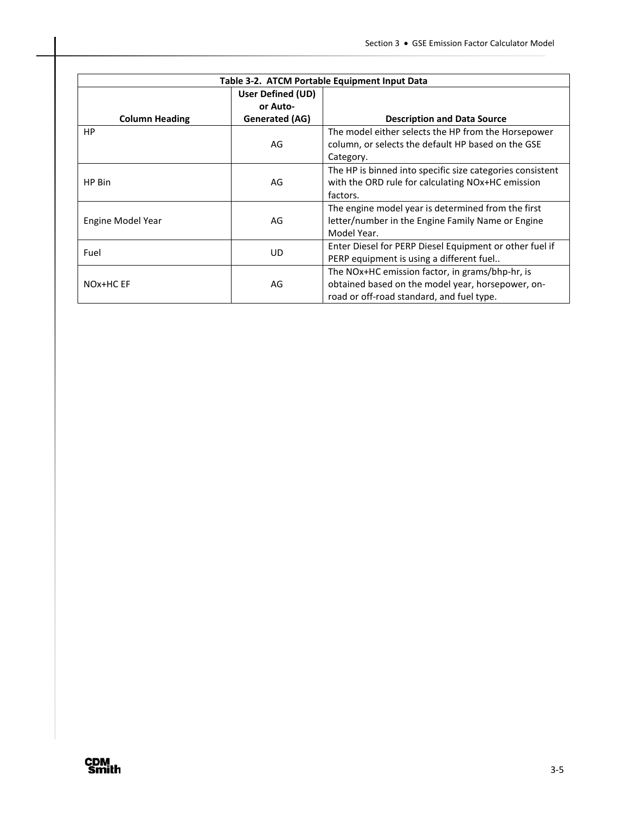| Table 3-2. ATCM Portable Equipment Input Data |                          |                                                           |  |
|-----------------------------------------------|--------------------------|-----------------------------------------------------------|--|
|                                               | <b>User Defined (UD)</b> |                                                           |  |
|                                               | or Auto-                 |                                                           |  |
| <b>Column Heading</b>                         | Generated (AG)           | <b>Description and Data Source</b>                        |  |
| HP.                                           |                          | The model either selects the HP from the Horsepower       |  |
|                                               | AG                       | column, or selects the default HP based on the GSE        |  |
|                                               |                          | Category.                                                 |  |
|                                               |                          | The HP is binned into specific size categories consistent |  |
| HP Bin                                        | AG                       | with the ORD rule for calculating NOx+HC emission         |  |
|                                               |                          | factors.                                                  |  |
|                                               |                          | The engine model year is determined from the first        |  |
| Engine Model Year                             | AG                       | letter/number in the Engine Family Name or Engine         |  |
|                                               |                          | Model Year.                                               |  |
| Fuel                                          | UD                       | Enter Diesel for PERP Diesel Equipment or other fuel if   |  |
|                                               |                          | PERP equipment is using a different fuel                  |  |
| NO <sub>x</sub> +HC EF                        | AG                       | The NOx+HC emission factor, in grams/bhp-hr, is           |  |
|                                               |                          | obtained based on the model year, horsepower, on-         |  |
|                                               |                          | road or off-road standard, and fuel type.                 |  |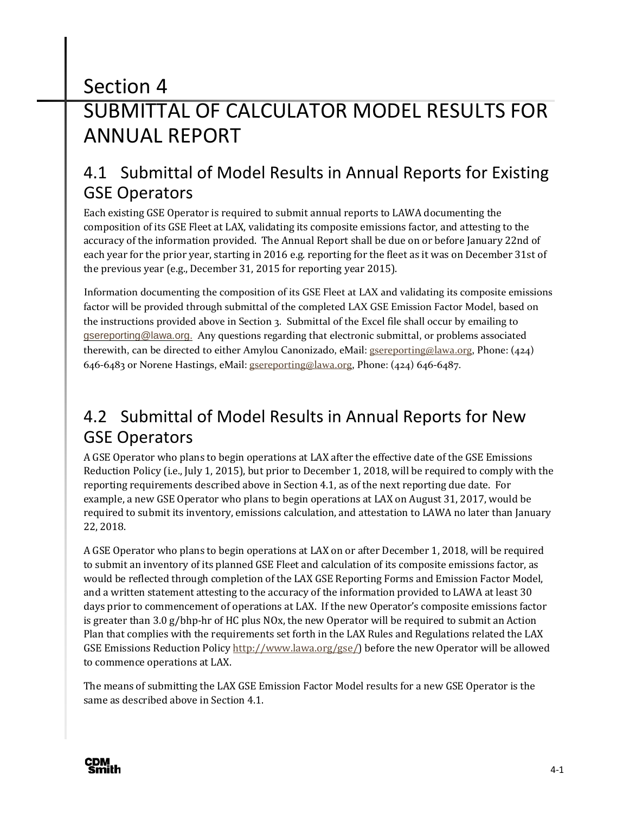# Section 4 SUBMITTAL OF CALCULATOR MODEL RESULTS FOR ANNUAL REPORT

### 4.1 Submittal of Model Results in Annual Reports for Existing GSE Operators

Each existing GSE Operator is required to submit annual reports to LAWA documenting the composition of its GSE Fleet at LAX, validating its composite emissions factor, and attesting to the accuracy of the information provided. The Annual Report shall be due on or before January 22nd of each year for the prior year, starting in 2016 e.g. reporting for the fleet as it was on December 31st of the previous year (e.g., December 31, 2015 for reporting year 2015).

Information documenting the composition of its GSE Fleet at LAX and validating its composite emissions factor will be provided through submittal of the completed LAX GSE Emission Factor Model, based on the instructions provided above in Section 3. Submittal of the Excel file shall occur by emailing to [gsereporting@lawa.org.](mailto:gsereporting@lawa.org) Any questions regarding that electronic submittal, or problems associated therewith, can be directed to either Amylou Canonizado, eMail: [gsereporting@lawa.org,](mailto:gsereporting@lawa.org) Phone: (424) 646-6483 or Norene Hastings, eMail: [gsereporting@lawa.org,](mailto:gsereporting@lawa.org) Phone: (424) 646-6487.

## 4.2 Submittal of Model Results in Annual Reports for New GSE Operators

A GSE Operator who plans to begin operations at LAX after the effective date of the GSE Emissions Reduction Policy (i.e., July 1, 2015), but prior to December 1, 2018, will be required to comply with the reporting requirements described above in Section 4.1, as of the next reporting due date. For example, a new GSE Operator who plans to begin operations at LAX on August 31, 2017, would be required to submit its inventory, emissions calculation, and attestation to LAWA no later than January 22, 2018.

A GSE Operator who plans to begin operations at LAX on or after December 1, 2018, will be required to submit an inventory of its planned GSE Fleet and calculation of its composite emissions factor, as would be reflected through completion of the LAX GSE Reporting Forms and Emission Factor Model, and a written statement attesting to the accuracy of the information provided to LAWA at least 30 days prior to commencement of operations at LAX. If the new Operator's composite emissions factor is greater than 3.0 g/bhp-hr of HC plus NOx, the new Operator will be required to submit an Action Plan that complies with the requirements set forth in the LAX Rules and Regulations related the LAX GSE Emissions Reduction Policy [http://www.lawa.org/gse/\)](http://www.lawa.org/gse/) before the new Operator will be allowed to commence operations at LAX.

The means of submitting the LAX GSE Emission Factor Model results for a new GSE Operator is the same as described above in Section 4.1.

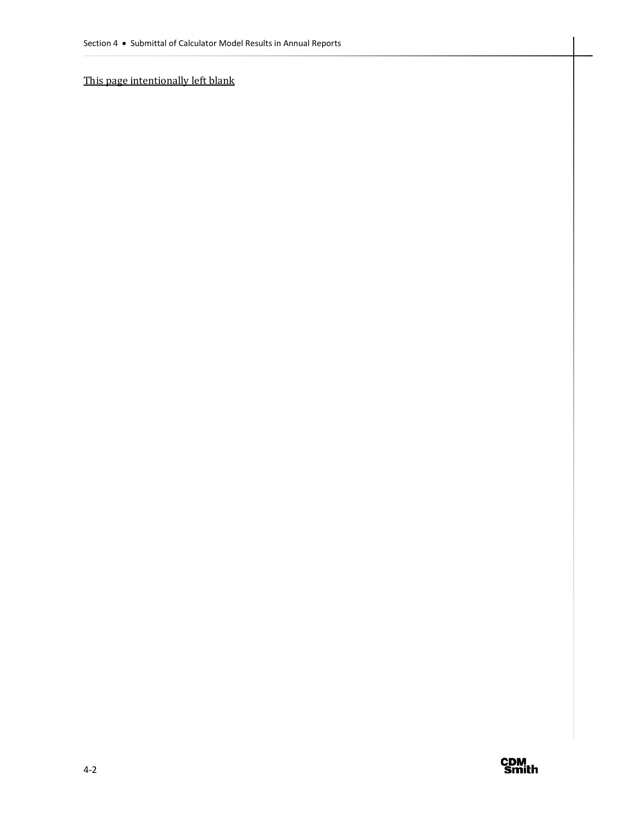#### This page intentionally left blank